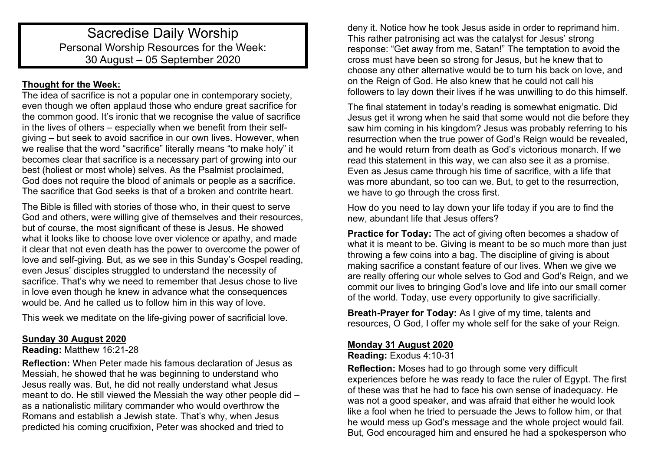# Sacredise Daily Worship Personal Worship Resources for the Week: 30 August – 05 September 2020

# **Thought for the Week:**

The idea of sacrifice is not a popular one in contemporary society, even though we often applaud those who endure great sacrifice for the common good. It's ironic that we recognise the value of sacrifice in the lives of others – especially when we benefit from their selfgiving – but seek to avoid sacrifice in our own lives. However, when we realise that the word "sacrifice" literally means "to make holy" it becomes clear that sacrifice is a necessary part of growing into our best (holiest or most whole) selves. As the Psalmist proclaimed, God does not require the blood of animals or people as a sacrifice. The sacrifice that God seeks is that of a broken and contrite heart.

The Bible is filled with stories of those who, in their quest to serve God and others, were willing give of themselves and their resources, but of course, the most significant of these is Jesus. He showed what it looks like to choose love over violence or apathy, and made it clear that not even death has the power to overcome the power of love and self-giving. But, as we see in this Sunday's Gospel reading, even Jesus' disciples struggled to understand the necessity of sacrifice. That's why we need to remember that Jesus chose to live in love even though he knew in advance what the consequences would be. And he called us to follow him in this way of love.

This week we meditate on the life-giving power of sacrificial love.

## **Sunday 30 August 2020**

### **Reading:** Matthew 16:21-28

**Reflection:** When Peter made his famous declaration of Jesus as Messiah, he showed that he was beginning to understand who Jesus really was. But, he did not really understand what Jesus meant to do. He still viewed the Messiah the way other people did – as a nationalistic military commander who would overthrow the Romans and establish a Jewish state. That's why, when Jesus predicted his coming crucifixion, Peter was shocked and tried to

deny it. Notice how he took Jesus aside in order to reprimand him. This rather patronising act was the catalyst for Jesus' strong response: "Get away from me, Satan!" The temptation to avoid the cross must have been so strong for Jesus, but he knew that to choose any other alternative would be to turn his back on love, and on the Reign of God. He also knew that he could not call his followers to lay down their lives if he was unwilling to do this himself.

The final statement in today's reading is somewhat enigmatic. Did Jesus get it wrong when he said that some would not die before they saw him coming in his kingdom? Jesus was probably referring to his resurrection when the true power of God's Reign would be revealed, and he would return from death as God's victorious monarch. If we read this statement in this way, we can also see it as a promise. Even as Jesus came through his time of sacrifice, with a life that was more abundant, so too can we. But, to get to the resurrection, we have to go through the cross first.

How do you need to lay down your life today if you are to find the new, abundant life that Jesus offers?

**Practice for Today:** The act of giving often becomes a shadow of what it is meant to be. Giving is meant to be so much more than just throwing a few coins into a bag. The discipline of giving is about making sacrifice a constant feature of our lives. When we give we are really offering our whole selves to God and God's Reign, and we commit our lives to bringing God's love and life into our small corner of the world. Today, use every opportunity to give sacrificially.

**Breath-Prayer for Today:** As I give of my time, talents and resources, O God, I offer my whole self for the sake of your Reign.

## **Monday 31 August 2020**

**Reading:** Exodus 4:10-31

**Reflection:** Moses had to go through some very difficult experiences before he was ready to face the ruler of Egypt. The first of these was that he had to face his own sense of inadequacy. He was not a good speaker, and was afraid that either he would look like a fool when he tried to persuade the Jews to follow him, or that he would mess up God's message and the whole project would fail. But, God encouraged him and ensured he had a spokesperson who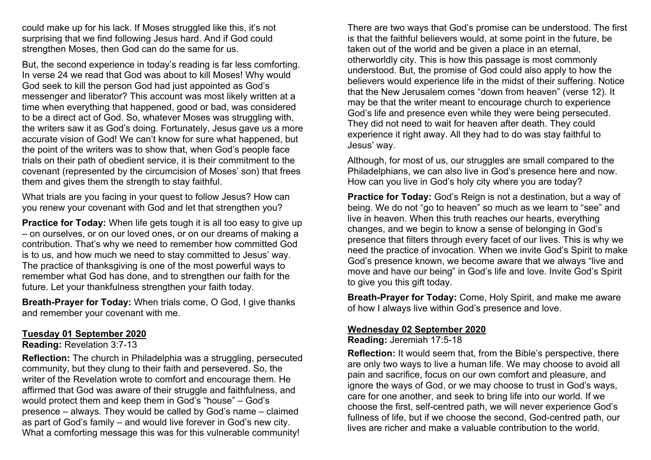could make up for his lack. If Moses struggled like this, it's not surprising that we find following Jesus hard. And if God could strengthen Moses, then God can do the same for us.

But, the second experience in today's reading is far less comforting. In verse 24 we read that God was about to kill Moses! Why would God seek to kill the person God had just appointed as God's messenger and liberator? This account was most likely written at a time when everything that happened, good or bad, was considered to be a direct act of God. So, whatever Moses was struggling with, the writers saw it as God's doing. Fortunately, Jesus gave us a more accurate vision of God! We can't know for sure what happened, but the point of the writers was to show that, when God's people face trials on their path of obedient service, it is their commitment to the covenant (represented by the circumcision of Moses' son) that frees them and gives them the strength to stay faithful.

What trials are you facing in your quest to follow Jesus? How can you renew your covenant with God and let that strengthen you?

**Practice for Today:** When life gets tough it is all too easy to give up – on ourselves, or on our loved ones, or on our dreams of making a contribution. That's why we need to remember how committed God is to us, and how much we need to stay committed to Jesus' way. The practice of thanksgiving is one of the most powerful ways to remember what God has done, and to strengthen our faith for the future. Let your thankfulness strengthen your faith today.

**Breath-Prayer for Today:** When trials come, O God, I give thanks and remember your covenant with me.

#### **Tuesday 01 September 2020**

**Reading:** Revelation 3:7-13

**Reflection:** The church in Philadelphia was a struggling, persecuted community, but they clung to their faith and persevered. So, the writer of the Revelation wrote to comfort and encourage them. He affirmed that God was aware of their struggle and faithfulness, and would protect them and keep them in God's "house" – God's presence – always. They would be called by God's name – claimed as part of God's family – and would live forever in God's new city. What a comforting message this was for this vulnerable community!

There are two ways that God's promise can be understood. The first is that the faithful believers would, at some point in the future, be taken out of the world and be given a place in an eternal, otherworldly city. This is how this passage is most commonly understood. But, the promise of God could also apply to how the believers would experience life in the midst of their suffering. Notice that the New Jerusalem comes "down from heaven" (verse 12). It may be that the writer meant to encourage church to experience God's life and presence even while they were being persecuted. They did not need to wait for heaven after death. They could experience it right away. All they had to do was stay faithful to Jesus' way.

Although, for most of us, our struggles are small compared to the Philadelphians, we can also live in God's presence here and now. How can you live in God's holy city where you are today?

**Practice for Today:** God's Reign is not a destination, but a way of being. We do not "go to heaven" so much as we learn to "see" and live in heaven. When this truth reaches our hearts, everything changes, and we begin to know a sense of belonging in God's presence that filters through every facet of our lives. This is why we need the practice of invocation. When we invite God's Spirit to make God's presence known, we become aware that we always "live and move and have our being" in God's life and love. Invite God's Spirit to give you this gift today.

**Breath-Prayer for Today:** Come, Holy Spirit, and make me aware of how I always live within God's presence and love.

## **Wednesday 02 September 2020**

**Reading:** Jeremiah 17:5-18

**Reflection:** It would seem that, from the Bible's perspective, there are only two ways to live a human life. We may choose to avoid all pain and sacrifice, focus on our own comfort and pleasure, and ignore the ways of God, or we may choose to trust in God's ways, care for one another, and seek to bring life into our world. If we choose the first, self-centred path, we will never experience God's fullness of life, but if we choose the second, God-centred path, our lives are richer and make a valuable contribution to the world.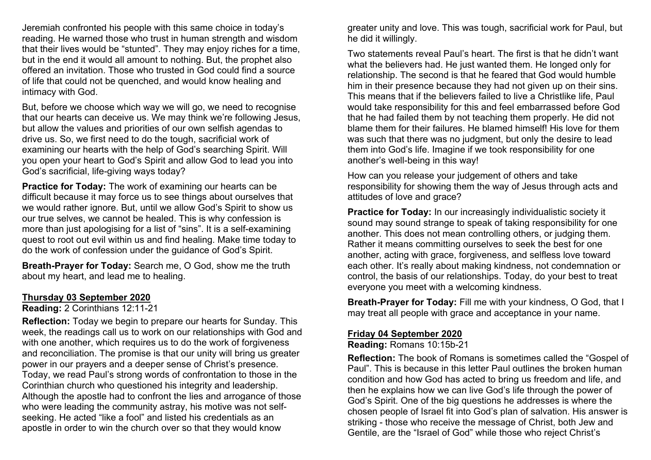Jeremiah confronted his people with this same choice in today's reading. He warned those who trust in human strength and wisdom that their lives would be "stunted". They may enjoy riches for a time, but in the end it would all amount to nothing. But, the prophet also offered an invitation. Those who trusted in God could find a source of life that could not be quenched, and would know healing and intimacy with God.

But, before we choose which way we will go, we need to recognise that our hearts can deceive us. We may think we're following Jesus, but allow the values and priorities of our own selfish agendas to drive us. So, we first need to do the tough, sacrificial work of examining our hearts with the help of God's searching Spirit. Will you open your heart to God's Spirit and allow God to lead you into God's sacrificial, life-giving ways today?

**Practice for Today:** The work of examining our hearts can be difficult because it may force us to see things about ourselves that we would rather ignore. But, until we allow God's Spirit to show us our true selves, we cannot be healed. This is why confession is more than just apologising for a list of "sins". It is a self-examining quest to root out evil within us and find healing. Make time today to do the work of confession under the guidance of God's Spirit.

**Breath-Prayer for Today:** Search me, O God, show me the truth about my heart, and lead me to healing.

#### **Thursday 03 September 2020**

### **Reading:** 2 Corinthians 12:11-21

**Reflection:** Today we begin to prepare our hearts for Sunday. This week, the readings call us to work on our relationships with God and with one another, which requires us to do the work of forgiveness and reconciliation. The promise is that our unity will bring us greater power in our prayers and a deeper sense of Christ's presence. Today, we read Paul's strong words of confrontation to those in the Corinthian church who questioned his integrity and leadership. Although the apostle had to confront the lies and arrogance of those who were leading the community astray, his motive was not selfseeking. He acted "like a fool" and listed his credentials as an apostle in order to win the church over so that they would know

greater unity and love. This was tough, sacrificial work for Paul, but he did it willingly.

Two statements reveal Paul's heart. The first is that he didn't want what the believers had. He just wanted them. He longed only for relationship. The second is that he feared that God would humble him in their presence because they had not given up on their sins. This means that if the believers failed to live a Christlike life, Paul would take responsibility for this and feel embarrassed before God that he had failed them by not teaching them properly. He did not blame them for their failures. He blamed himself! His love for them was such that there was no judgment, but only the desire to lead them into God's life. Imagine if we took responsibility for one another's well-being in this way!

How can you release your judgement of others and take responsibility for showing them the way of Jesus through acts and attitudes of love and grace?

**Practice for Today:** In our increasingly individualistic society it sound may sound strange to speak of taking responsibility for one another. This does not mean controlling others, or judging them. Rather it means committing ourselves to seek the best for one another, acting with grace, forgiveness, and selfless love toward each other. It's really about making kindness, not condemnation or control, the basis of our relationships. Today, do your best to treat everyone you meet with a welcoming kindness.

**Breath-Prayer for Today:** Fill me with your kindness, O God, that I may treat all people with grace and acceptance in your name.

### **Friday 04 September 2020**

**Reading:** Romans 10:15b-21

**Reflection:** The book of Romans is sometimes called the "Gospel of Paul". This is because in this letter Paul outlines the broken human condition and how God has acted to bring us freedom and life, and then he explains how we can live God's life through the power of God's Spirit. One of the big questions he addresses is where the chosen people of Israel fit into God's plan of salvation. His answer is striking - those who receive the message of Christ, both Jew and Gentile, are the "Israel of God" while those who reject Christ's